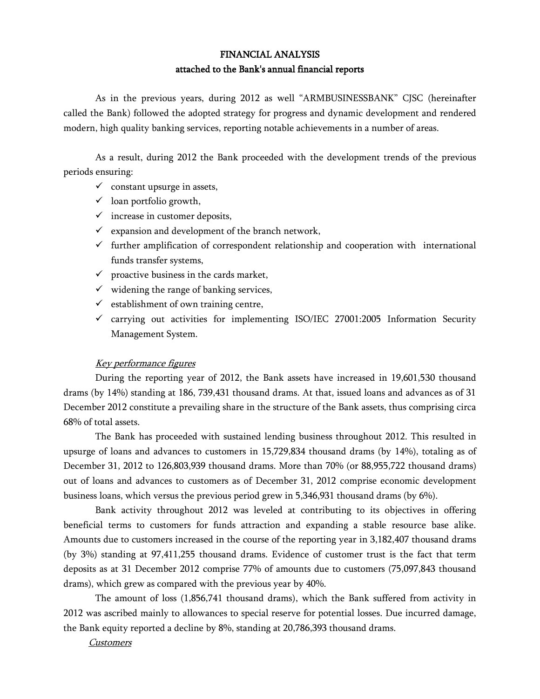# FINANCIAL ANALYSIS attached to the Bank's annual financial reports

As in the previous years, during 2012 as well "ARMBUSINESSBANK" CJSC (hereinafter called the Bank) followed the adopted strategy for progress and dynamic development and rendered modern, high quality banking services, reporting notable achievements in a number of areas.

As a result, during 2012 the Bank proceeded with the development trends of the previous periods ensuring:

- $\checkmark$  constant upsurge in assets,
- $\checkmark$  loan portfolio growth,
- $\checkmark$  increase in customer deposits,
- $\checkmark$  expansion and development of the branch network,
- $\checkmark$  further amplification of correspondent relationship and cooperation with international funds transfer systems,
- $\checkmark$  proactive business in the cards market,
- $\checkmark$  widening the range of banking services,
- $\checkmark$  establishment of own training centre,
- $\checkmark$  carrying out activities for implementing ISO/IEC 27001:2005 Information Security Management System.

### Key performance figures

During the reporting year of 2012, the Bank assets have increased in 19,601,530 thousand drams (by 14%) standing at 186, 739,431 thousand drams. At that, issued loans and advances as of 31 December 2012 constitute a prevailing share in the structure of the Bank assets, thus comprising circa 68% of total assets.

The Bank has proceeded with sustained lending business throughout 2012. This resulted in upsurge of loans and advances to customers in 15,729,834 thousand drams (by 14%), totaling as of December 31, 2012 to 126,803,939 thousand drams. More than 70% (or 88,955,722 thousand drams) out of loans and advances to customers as of December 31, 2012 comprise economic development business loans, which versus the previous period grew in 5,346,931 thousand drams (by 6%).

Bank activity throughout 2012 was leveled at contributing to its objectives in offering beneficial terms to customers for funds attraction and expanding a stable resource base alike. Amounts due to customers increased in the course of the reporting year in 3,182,407 thousand drams (by 3%) standing at 97,411,255 thousand drams. Evidence of customer trust is the fact that term deposits as at 31 December 2012 comprise 77% of amounts due to customers (75,097,843 thousand drams), which grew as compared with the previous year by 40%.

The amount of loss (1,856,741 thousand drams), which the Bank suffered from activity in 2012 was ascribed mainly to allowances to special reserve for potential losses. Due incurred damage, the Bank equity reported a decline by 8%, standing at 20,786,393 thousand drams.

Customers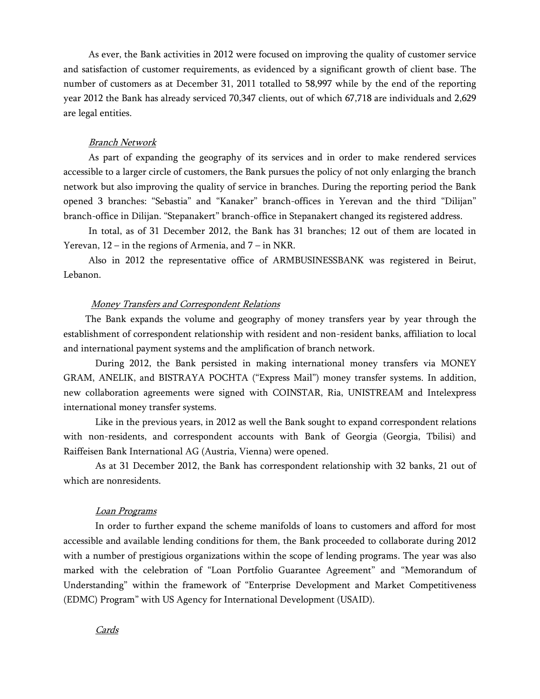As ever, the Bank activities in 2012 were focused on improving the quality of customer service and satisfaction of customer requirements, as evidenced by a significant growth of client base. The number of customers as at December 31, 2011 totalled to 58,997 while by the end of the reporting year 2012 the Bank has already serviced 70,347 clients, out of which 67,718 are individuals and 2,629 are legal entities.

#### Branch Network

As part of expanding the geography of its services and in order to make rendered services accessible to a larger circle of customers, the Bank pursues the policy of not only enlarging the branch network but also improving the quality of service in branches. During the reporting period the Bank opened 3 branches: "Sebastia" and "Kanaker" branch-offices in Yerevan and the third "Dilijan" branch-office in Dilijan. "Stepanakert" branch-office in Stepanakert changed its registered address.

In total, as of 31 December 2012, the Bank has 31 branches; 12 out of them are located in Yerevan,  $12$  – in the regions of Armenia, and  $7$  – in NKR.

Also in 2012 the representative office of ARMBUSINESSBANK was registered in Beirut, Lebanon.

#### Money Transfers and Correspondent Relations

 The Bank expands the volume and geography of money transfers year by year through the establishment of correspondent relationship with resident and non-resident banks, affiliation to local and international payment systems and the amplification of branch network.

During 2012, the Bank persisted in making international money transfers via MONEY GRAM, ANELIK, and BISTRAYA POCHTA ("Express Mail") money transfer systems. In addition, new collaboration agreements were signed with COINSTAR, Ria, UNISTREAM and Intelexpress international money transfer systems.

Like in the previous years, in 2012 as well the Bank sought to expand correspondent relations with non-residents, and correspondent accounts with Bank of Georgia (Georgia, Tbilisi) and Raiffeisen Bank International AG (Austria, Vienna) were opened.

As at 31 December 2012, the Bank has correspondent relationship with 32 banks, 21 out of which are nonresidents.

#### Loan Programs

In order to further expand the scheme manifolds of loans to customers and afford for most accessible and available lending conditions for them, the Bank proceeded to collaborate during 2012 with a number of prestigious organizations within the scope of lending programs. The year was also marked with the celebration of "Loan Portfolio Guarantee Agreement" and "Memorandum of Understanding" within the framework of "Enterprise Development and Market Competitiveness (EDMC) Program" with US Agency for International Development (USAID).